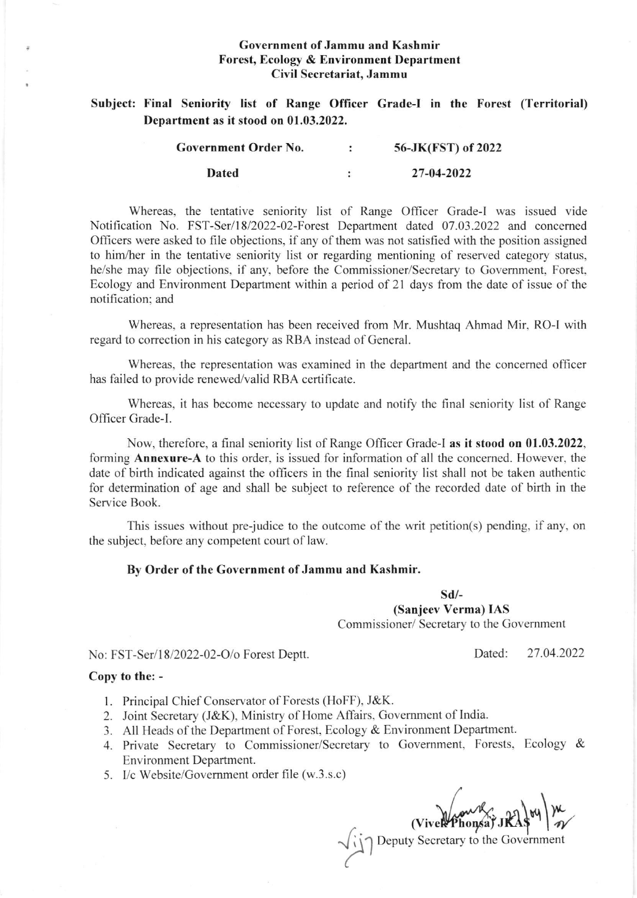## Government of Jammu and Kashmir Forest, Ecology & Environment Department Civil Secretariat, Jammu

Subject: Final Seniority list of Range Officer Grade-I in the Forest (Territorial) Department as it stood on 01.03.2022.

| Government Order No. | 56-JK(FST) of 2022 |
|----------------------|--------------------|
| <b>Dated</b>         | 27-04-2022         |

Whereas, the tentative seniority list of Range Officer Crade-l was issued vide Notification No. FST-Ser/18/2022-02-Forest Department dated 07.03.2022 and concerned Officers were asked to file objections, if any of them was not satisfied with the position assigned to him,/her in the tentative seniority list or regarding mentioning of reserved category status, he/she may file objections. if any, before the Commissioner/Secretary to Govemment, Forest. Ecology and Environment Department within a period of 21 days from the date of issue of the notification: and

Whereas, a representation has been received from Mr. Mushtaq Ahmad Mir, RO-I with regard to correction in his category as RBA instead of General.

Whereas, the representation was examined in the department and the concemed officer has failed to provide renewed/valid RBA certificate.

Whereas, it has become necessary to update and notify the final seniority list of Range Officer Grade-1.

Now, therefore, a frnal seniority list of Range Officer Grade-l as it stood on 01.03.2022, forming Annexure-A to this order, is issued for information of all the concerned. However, the date of birth indicated against the officers in the final seniority list shall not be taken authentic for determination of age and shall be subject to reference of the recorded date of birth in the Service Book.

This issues without pre-judice to the outcome of the writ petition(s) pending, if any, on the subject, before any competent court of law.

## By Order of the Government of Jammu and Kashmir.

sd/-

(Sanjeev Verma) IAS

Commissioner/ Secretary to the Government

No: FST-Ser/18/2022-02-O/o Forest Deptt.

## Copy to the: -

- <sup>I</sup>. Principal Chief Conservator of Forests (HoFF), J&K.
- 2. Joint Secretary (J&K), Ministry of Home Aftairs, Covemment of India.
- 3. All Heads of the Department of Forest, Ecology & Environment Department.
- 4. Private Secretary to Commissioner/Secretary to Govemment, Forests, Ecology & Environment Department.
- 5. I/c Website/Governrnent order file (w.3.s.c)

(Viven Phonsa)  $\frac{1}{2}$ 

Pole Secretary to the Government

Dated: 27.04.2022